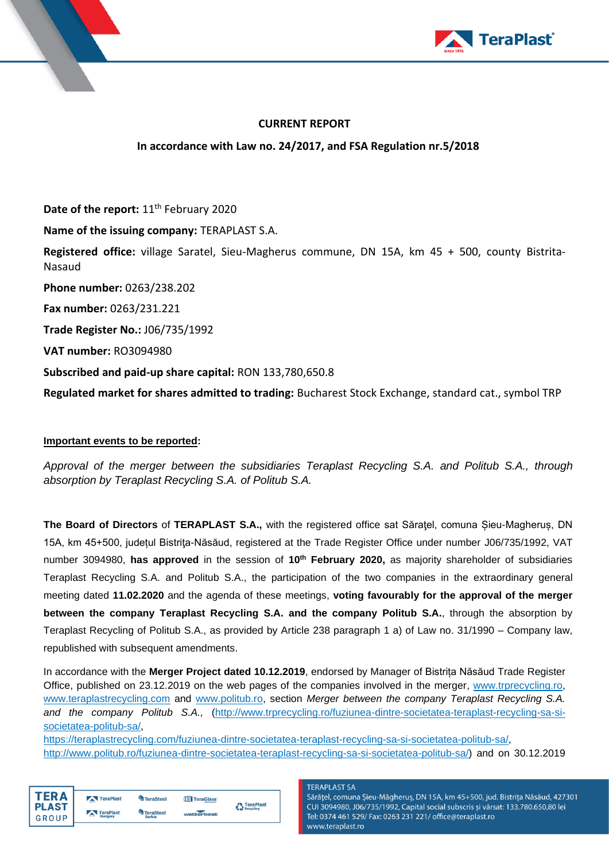



## **CURRENT REPORT**

## **In accordance with Law no. 24/2017, and FSA Regulation nr.5/2018**

Date of the report: 11<sup>th</sup> February 2020 **Name of the issuing company:** TERAPLAST S.A. **Registered office:** village Saratel, Sieu-Magherus commune, DN 15A, km 45 + 500, county Bistrita-Nasaud **Phone number:** 0263/238.202 **Fax number:** 0263/231.221 **Trade Register No.:** J06/735/1992 **VAT number:** RO3094980 **Subscribed and paid-up share capital:** RON 133,780,650.8 **Regulated market for shares admitted to trading:** Bucharest Stock Exchange, standard cat., symbol TRP

## **Important events to be reported:**

*Approval of the merger between the subsidiaries Teraplast Recycling S.A. and Politub S.A., through absorption by Teraplast Recycling S.A. of Politub S.A.*

**The Board of Directors of TERAPLAST S.A., with the registered office sat Săratel, comuna Sieu-Magherus, DN** 15A, km 45+500, județul Bistriţa-Năsăud, registered at the Trade Register Office under number J06/735/1992, VAT number 3094980, **has approved** in the session of **10th February 2020,** as majority shareholder of subsidiaries Teraplast Recycling S.A. and Politub S.A., the participation of the two companies in the extraordinary general meeting dated **11.02.2020** and the agenda of these meetings, **voting favourably for the approval of the merger between the company Teraplast Recycling S.A. and the company Politub S.A.**, through the absorption by Teraplast Recycling of Politub S.A., as provided by Article 238 paragraph 1 a) of Law no. 31/1990 – Company law, republished with subsequent amendments.

In accordance with the **Merger Project dated 10.12.2019**, endorsed by Manager of Bistrița Năsăud Trade Register Office, published on 23.12.2019 on the web pages of the companies involved in the merger, [www.trprecycling.ro,](http://www.trprecycling.ro/) [www.teraplastrecycling.com](http://www.teraplastrecycling.com/) and [www.politub.ro,](http://www.politub.ro/) section *Merger between the company Teraplast Recycling S.A. and the company Politub S.A.,* [\(http://www.trprecycling.ro/fuziunea-dintre-societatea-teraplast-recycling-sa-si](http://www.trprecycling.ro/fuziunea-dintre-societatea-teraplast-recycling-sa-si-societatea-politub-sa/)[societatea-politub-sa/,](http://www.trprecycling.ro/fuziunea-dintre-societatea-teraplast-recycling-sa-si-societatea-politub-sa/)

[https://teraplastrecycling.com/fuziunea-dintre-societatea-teraplast-recycling-sa-si-societatea-politub-sa/,](https://teraplastrecycling.com/fuziunea-dintre-societatea-teraplast-recycling-sa-si-societatea-politub-sa/) [http://www.politub.ro/fuziunea-dintre-societatea-teraplast-recycling-sa-si-societatea-politub-sa/\)](http://www.politub.ro/fuziunea-dintre-societatea-teraplast-recycling-sa-si-societatea-politub-sa/) and on 30.12.2019

| ΓFR Δ        | TeraPlast | <b>TeraSteel</b>       | TeraGlass  | <b>A</b> TeraPlast |
|--------------|-----------|------------------------|------------|--------------------|
| <b>PLAST</b> | TeraPlast | <sup>4</sup> TeraSteel |            | Recycling          |
| GROUP        | Hungary   | <b>Serbia</b>          | wetterbest |                    |

**TFRAPI AST SA** 

Sărățel, comuna Șieu-Măgheruș, DN 15A, km 45+500, jud. Bistrița Năsăud, 427301 CUI 3094980, J06/735/1992, Capital social subscris și vărsat: 133.780.650,80 lei Tel: 0374 461 529/ Fax: 0263 231 221/ office@teraplast.ro www.teraplast.ro